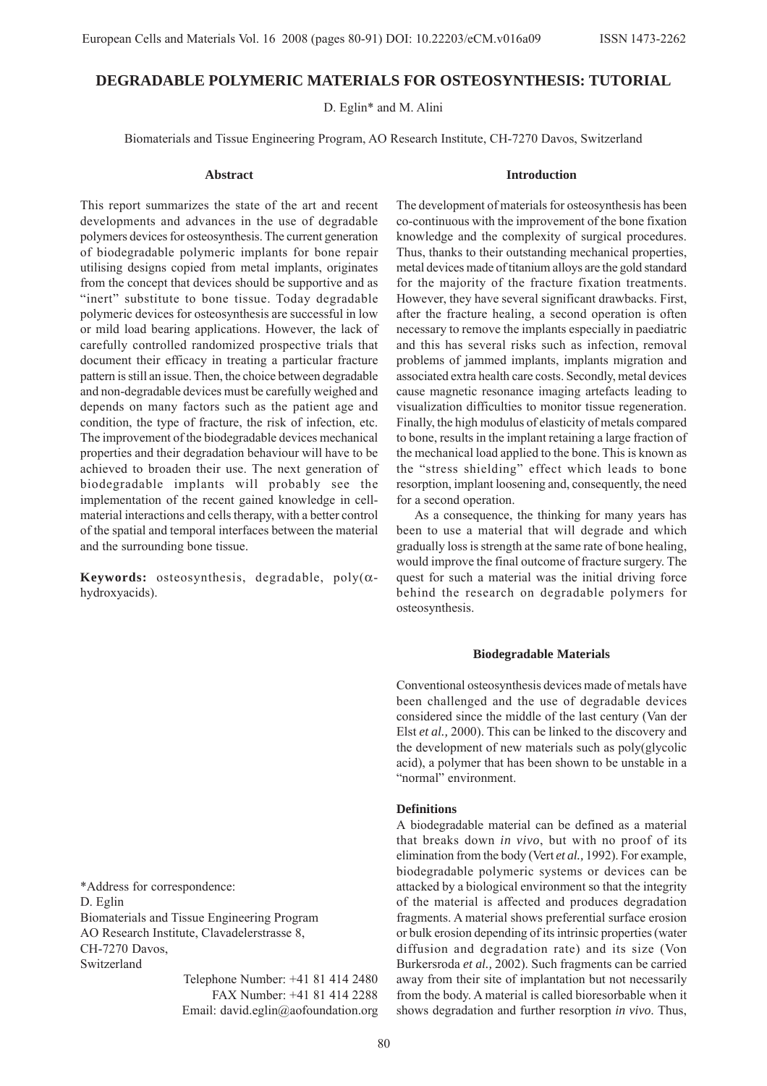# **DEGRADABLE POLYMERIC MATERIALS FOR OSTEOSYNTHESIS: TUTORIAL**

D. Eglin\* and M. Alini

Biomaterials and Tissue Engineering Program, AO Research Institute, CH-7270 Davos, Switzerland

#### **Abstract**

This report summarizes the state of the art and recent developments and advances in the use of degradable polymers devices for osteosynthesis. The current generation of biodegradable polymeric implants for bone repair utilising designs copied from metal implants, originates from the concept that devices should be supportive and as "inert" substitute to bone tissue. Today degradable polymeric devices for osteosynthesis are successful in low or mild load bearing applications. However, the lack of carefully controlled randomized prospective trials that document their efficacy in treating a particular fracture pattern is still an issue. Then, the choice between degradable and non-degradable devices must be carefully weighed and depends on many factors such as the patient age and condition, the type of fracture, the risk of infection, etc. The improvement of the biodegradable devices mechanical properties and their degradation behaviour will have to be achieved to broaden their use. The next generation of biodegradable implants will probably see the implementation of the recent gained knowledge in cellmaterial interactions and cells therapy, with a better control of the spatial and temporal interfaces between the material and the surrounding bone tissue.

**Keywords:** osteosynthesis, degradable, poly(αhydroxyacids).

**Introduction**

The development of materials for osteosynthesis has been co-continuous with the improvement of the bone fixation knowledge and the complexity of surgical procedures. Thus, thanks to their outstanding mechanical properties, metal devices made of titanium alloys are the gold standard for the majority of the fracture fixation treatments. However, they have several significant drawbacks. First, after the fracture healing, a second operation is often necessary to remove the implants especially in paediatric and this has several risks such as infection, removal problems of jammed implants, implants migration and associated extra health care costs. Secondly, metal devices cause magnetic resonance imaging artefacts leading to visualization difficulties to monitor tissue regeneration. Finally, the high modulus of elasticity of metals compared to bone, results in the implant retaining a large fraction of the mechanical load applied to the bone. This is known as the "stress shielding" effect which leads to bone resorption, implant loosening and, consequently, the need for a second operation.

As a consequence, the thinking for many years has been to use a material that will degrade and which gradually loss is strength at the same rate of bone healing, would improve the final outcome of fracture surgery. The quest for such a material was the initial driving force behind the research on degradable polymers for osteosynthesis.

## **Biodegradable Materials**

Conventional osteosynthesis devices made of metals have been challenged and the use of degradable devices considered since the middle of the last century (Van der Elst *et al.,* 2000). This can be linked to the discovery and the development of new materials such as poly(glycolic acid), a polymer that has been shown to be unstable in a "normal" environment.

## **Definitions**

A biodegradable material can be defined as a material that breaks down *in vivo*, but with no proof of its elimination from the body (Vert *et al.,* 1992). For example, biodegradable polymeric systems or devices can be attacked by a biological environment so that the integrity of the material is affected and produces degradation fragments. A material shows preferential surface erosion or bulk erosion depending of its intrinsic properties (water diffusion and degradation rate) and its size (Von Burkersroda *et al.,* 2002). Such fragments can be carried away from their site of implantation but not necessarily from the body. A material is called bioresorbable when it shows degradation and further resorption *in vivo*. Thus,

\*Address for correspondence: D. Eglin Biomaterials and Tissue Engineering Program AO Research Institute, Clavadelerstrasse 8, CH-7270 Davos, Switzerland

> Telephone Number: +41 81 414 2480 FAX Number: +41 81 414 2288 Email: david.eglin@aofoundation.org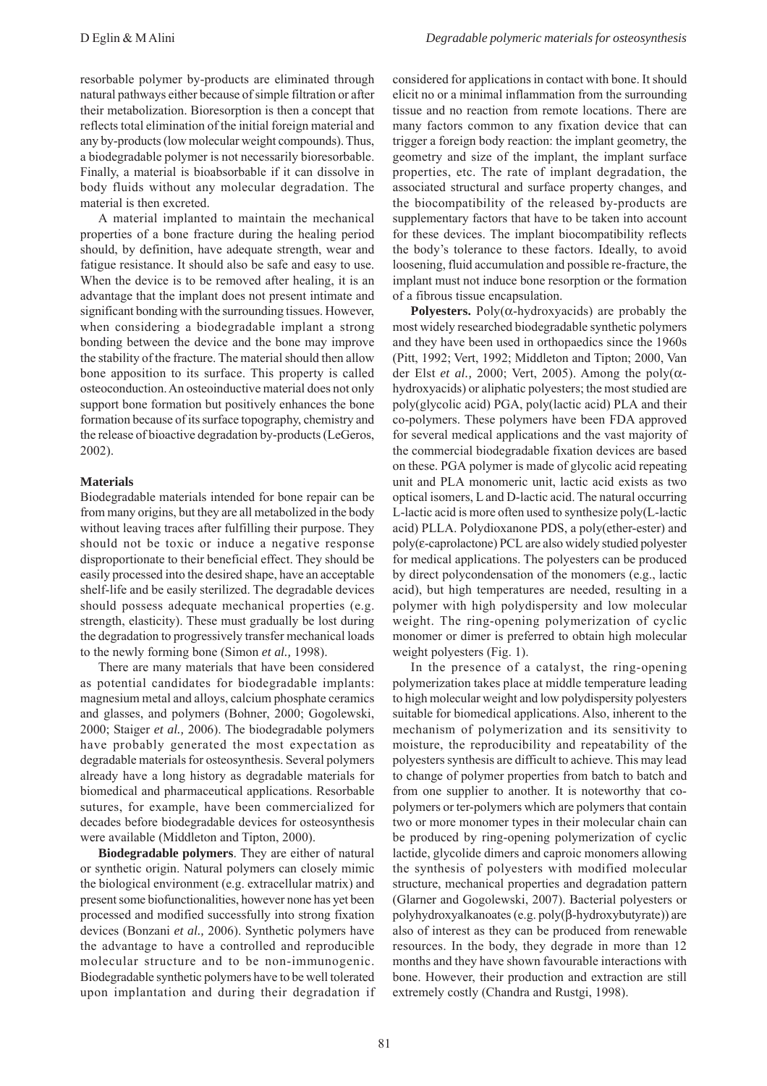resorbable polymer by-products are eliminated through natural pathways either because of simple filtration or after their metabolization. Bioresorption is then a concept that reflects total elimination of the initial foreign material and any by-products (low molecular weight compounds). Thus, a biodegradable polymer is not necessarily bioresorbable. Finally, a material is bioabsorbable if it can dissolve in body fluids without any molecular degradation. The material is then excreted.

A material implanted to maintain the mechanical properties of a bone fracture during the healing period should, by definition, have adequate strength, wear and fatigue resistance. It should also be safe and easy to use. When the device is to be removed after healing, it is an advantage that the implant does not present intimate and significant bonding with the surrounding tissues. However, when considering a biodegradable implant a strong bonding between the device and the bone may improve the stability of the fracture. The material should then allow bone apposition to its surface. This property is called osteoconduction. An osteoinductive material does not only support bone formation but positively enhances the bone formation because of its surface topography, chemistry and the release of bioactive degradation by-products (LeGeros, 2002).

### **Materials**

Biodegradable materials intended for bone repair can be from many origins, but they are all metabolized in the body without leaving traces after fulfilling their purpose. They should not be toxic or induce a negative response disproportionate to their beneficial effect. They should be easily processed into the desired shape, have an acceptable shelf-life and be easily sterilized. The degradable devices should possess adequate mechanical properties (e.g. strength, elasticity). These must gradually be lost during the degradation to progressively transfer mechanical loads to the newly forming bone (Simon *et al.,* 1998).

There are many materials that have been considered as potential candidates for biodegradable implants: magnesium metal and alloys, calcium phosphate ceramics and glasses, and polymers (Bohner, 2000; Gogolewski, 2000; Staiger *et al.,* 2006). The biodegradable polymers have probably generated the most expectation as degradable materials for osteosynthesis. Several polymers already have a long history as degradable materials for biomedical and pharmaceutical applications. Resorbable sutures, for example, have been commercialized for decades before biodegradable devices for osteosynthesis were available (Middleton and Tipton, 2000).

**Biodegradable polymers**. They are either of natural or synthetic origin. Natural polymers can closely mimic the biological environment (e.g. extracellular matrix) and present some biofunctionalities, however none has yet been processed and modified successfully into strong fixation devices (Bonzani *et al.,* 2006). Synthetic polymers have the advantage to have a controlled and reproducible molecular structure and to be non-immunogenic. Biodegradable synthetic polymers have to be well tolerated upon implantation and during their degradation if considered for applications in contact with bone. It should elicit no or a minimal inflammation from the surrounding tissue and no reaction from remote locations. There are many factors common to any fixation device that can trigger a foreign body reaction: the implant geometry, the geometry and size of the implant, the implant surface properties, etc. The rate of implant degradation, the associated structural and surface property changes, and the biocompatibility of the released by-products are supplementary factors that have to be taken into account for these devices. The implant biocompatibility reflects the body's tolerance to these factors. Ideally, to avoid loosening, fluid accumulation and possible re-fracture, the implant must not induce bone resorption or the formation of a fibrous tissue encapsulation.

**Polyesters.** Poly( $\alpha$ -hydroxyacids) are probably the most widely researched biodegradable synthetic polymers and they have been used in orthopaedics since the 1960s (Pitt, 1992; Vert, 1992; Middleton and Tipton; 2000, Van der Elst *et al.*, 2000; Vert, 2005). Among the poly( $\alpha$ hydroxyacids) or aliphatic polyesters; the most studied are poly(glycolic acid) PGA, poly(lactic acid) PLA and their co-polymers. These polymers have been FDA approved for several medical applications and the vast majority of the commercial biodegradable fixation devices are based on these. PGA polymer is made of glycolic acid repeating unit and PLA monomeric unit, lactic acid exists as two optical isomers, L and D-lactic acid. The natural occurring L-lactic acid is more often used to synthesize poly(L-lactic acid) PLLA. Polydioxanone PDS, a poly(ether-ester) and poly(ε-caprolactone) PCL are also widely studied polyester for medical applications. The polyesters can be produced by direct polycondensation of the monomers (e.g., lactic acid), but high temperatures are needed, resulting in a polymer with high polydispersity and low molecular weight. The ring-opening polymerization of cyclic monomer or dimer is preferred to obtain high molecular weight polyesters (Fig. 1).

In the presence of a catalyst, the ring-opening polymerization takes place at middle temperature leading to high molecular weight and low polydispersity polyesters suitable for biomedical applications. Also, inherent to the mechanism of polymerization and its sensitivity to moisture, the reproducibility and repeatability of the polyesters synthesis are difficult to achieve. This may lead to change of polymer properties from batch to batch and from one supplier to another. It is noteworthy that copolymers or ter-polymers which are polymers that contain two or more monomer types in their molecular chain can be produced by ring-opening polymerization of cyclic lactide, glycolide dimers and caproic monomers allowing the synthesis of polyesters with modified molecular structure, mechanical properties and degradation pattern (Glarner and Gogolewski, 2007). Bacterial polyesters or polyhydroxyalkanoates (e.g. poly(β-hydroxybutyrate)) are also of interest as they can be produced from renewable resources. In the body, they degrade in more than 12 months and they have shown favourable interactions with bone. However, their production and extraction are still extremely costly (Chandra and Rustgi, 1998).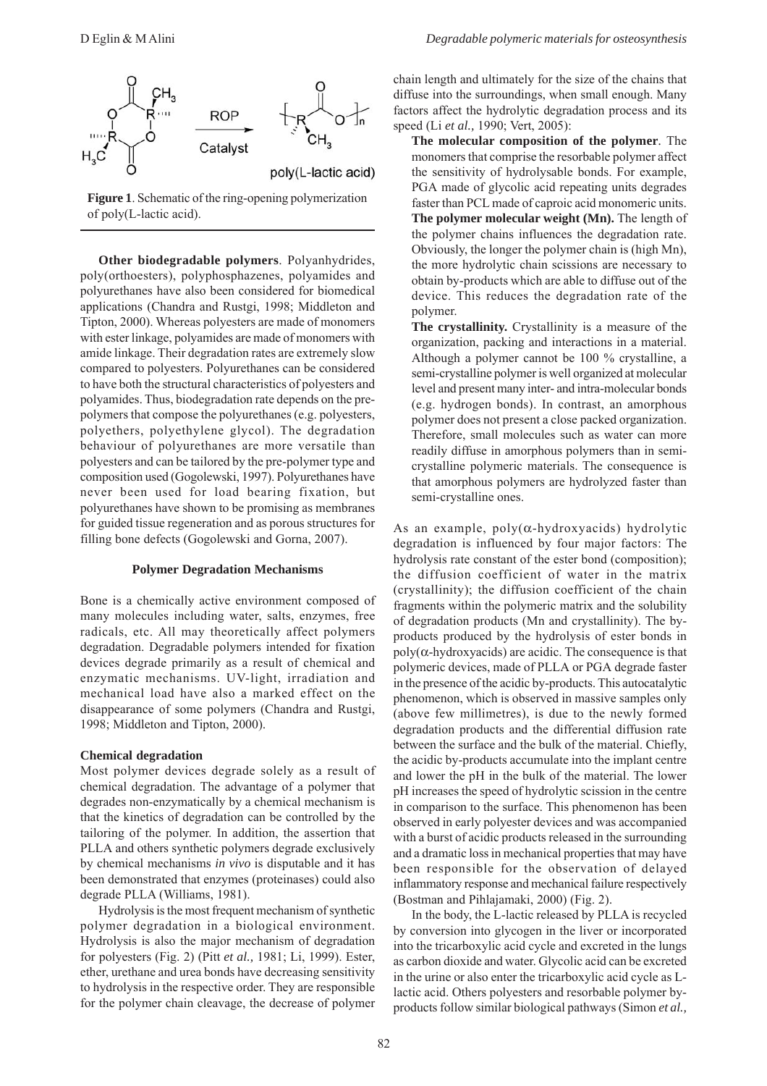**Figure 1**. Schematic of the ring-opening polymerization of poly(L-lactic acid).

**Other biodegradable polymers**. Polyanhydrides, poly(orthoesters), polyphosphazenes, polyamides and polyurethanes have also been considered for biomedical applications (Chandra and Rustgi, 1998; Middleton and Tipton, 2000). Whereas polyesters are made of monomers with ester linkage, polyamides are made of monomers with amide linkage. Their degradation rates are extremely slow compared to polyesters. Polyurethanes can be considered to have both the structural characteristics of polyesters and polyamides. Thus, biodegradation rate depends on the prepolymers that compose the polyurethanes (e.g. polyesters, polyethers, polyethylene glycol). The degradation behaviour of polyurethanes are more versatile than polyesters and can be tailored by the pre-polymer type and composition used (Gogolewski, 1997). Polyurethanes have never been used for load bearing fixation, but polyurethanes have shown to be promising as membranes for guided tissue regeneration and as porous structures for filling bone defects (Gogolewski and Gorna, 2007).

#### **Polymer Degradation Mechanisms**

Bone is a chemically active environment composed of many molecules including water, salts, enzymes, free radicals, etc. All may theoretically affect polymers degradation. Degradable polymers intended for fixation devices degrade primarily as a result of chemical and enzymatic mechanisms. UV-light, irradiation and mechanical load have also a marked effect on the disappearance of some polymers (Chandra and Rustgi, 1998; Middleton and Tipton, 2000).

### **Chemical degradation**

Most polymer devices degrade solely as a result of chemical degradation. The advantage of a polymer that degrades non-enzymatically by a chemical mechanism is that the kinetics of degradation can be controlled by the tailoring of the polymer. In addition, the assertion that PLLA and others synthetic polymers degrade exclusively by chemical mechanisms *in vivo* is disputable and it has been demonstrated that enzymes (proteinases) could also degrade PLLA (Williams, 1981).

Hydrolysis is the most frequent mechanism of synthetic polymer degradation in a biological environment. Hydrolysis is also the major mechanism of degradation for polyesters (Fig. 2) (Pitt *et al.,* 1981; Li, 1999). Ester, ether, urethane and urea bonds have decreasing sensitivity to hydrolysis in the respective order. They are responsible for the polymer chain cleavage, the decrease of polymer chain length and ultimately for the size of the chains that diffuse into the surroundings, when small enough. Many factors affect the hydrolytic degradation process and its speed (Li *et al.,* 1990; Vert, 2005):

**The molecular composition of the polymer***.* The monomers that comprise the resorbable polymer affect the sensitivity of hydrolysable bonds. For example, PGA made of glycolic acid repeating units degrades faster than PCL made of caproic acid monomeric units. **The polymer molecular weight (Mn).** The length of the polymer chains influences the degradation rate. Obviously, the longer the polymer chain is (high Mn), the more hydrolytic chain scissions are necessary to obtain by-products which are able to diffuse out of the device. This reduces the degradation rate of the polymer.

**The crystallinity.** Crystallinity is a measure of the organization, packing and interactions in a material. Although a polymer cannot be 100 % crystalline, a semi-crystalline polymer is well organized at molecular level and present many inter- and intra-molecular bonds (e.g. hydrogen bonds). In contrast, an amorphous polymer does not present a close packed organization. Therefore, small molecules such as water can more readily diffuse in amorphous polymers than in semicrystalline polymeric materials. The consequence is that amorphous polymers are hydrolyzed faster than semi-crystalline ones.

As an example,  $poly(\alpha-hydroxyacids)$  hydrolytic degradation is influenced by four major factors: The hydrolysis rate constant of the ester bond (composition); the diffusion coefficient of water in the matrix (crystallinity); the diffusion coefficient of the chain fragments within the polymeric matrix and the solubility of degradation products (Mn and crystallinity). The byproducts produced by the hydrolysis of ester bonds in  $poly(\alpha$ -hydroxyacids) are acidic. The consequence is that polymeric devices, made of PLLA or PGA degrade faster in the presence of the acidic by-products. This autocatalytic phenomenon, which is observed in massive samples only (above few millimetres), is due to the newly formed degradation products and the differential diffusion rate between the surface and the bulk of the material. Chiefly, the acidic by-products accumulate into the implant centre and lower the pH in the bulk of the material. The lower pH increases the speed of hydrolytic scission in the centre in comparison to the surface. This phenomenon has been observed in early polyester devices and was accompanied with a burst of acidic products released in the surrounding and a dramatic loss in mechanical properties that may have been responsible for the observation of delayed inflammatory response and mechanical failure respectively (Bostman and Pihlajamaki, 2000) (Fig. 2).

In the body, the L-lactic released by PLLA is recycled by conversion into glycogen in the liver or incorporated into the tricarboxylic acid cycle and excreted in the lungs as carbon dioxide and water. Glycolic acid can be excreted in the urine or also enter the tricarboxylic acid cycle as Llactic acid. Others polyesters and resorbable polymer byproducts follow similar biological pathways (Simon *et al.,*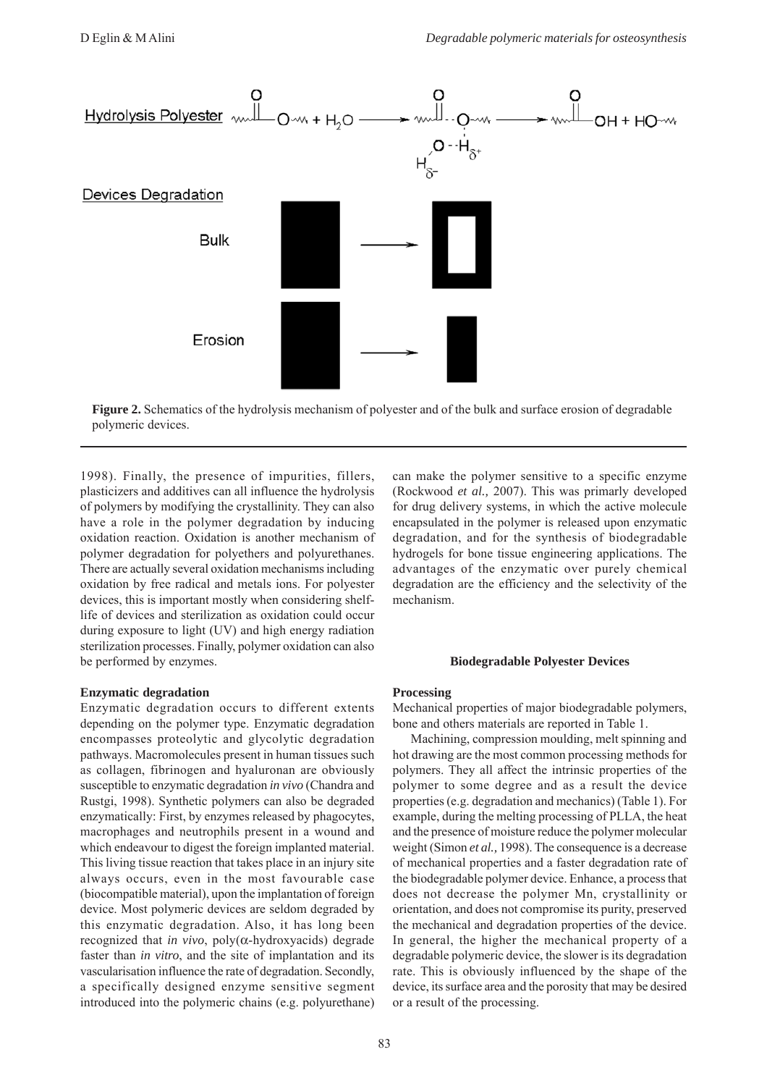



1998). Finally, the presence of impurities, fillers, plasticizers and additives can all influence the hydrolysis of polymers by modifying the crystallinity. They can also have a role in the polymer degradation by inducing oxidation reaction. Oxidation is another mechanism of polymer degradation for polyethers and polyurethanes. There are actually several oxidation mechanisms including oxidation by free radical and metals ions. For polyester devices, this is important mostly when considering shelflife of devices and sterilization as oxidation could occur during exposure to light (UV) and high energy radiation sterilization processes. Finally, polymer oxidation can also be performed by enzymes.

# **Enzymatic degradation**

Enzymatic degradation occurs to different extents depending on the polymer type. Enzymatic degradation encompasses proteolytic and glycolytic degradation pathways. Macromolecules present in human tissues such as collagen, fibrinogen and hyaluronan are obviously susceptible to enzymatic degradation *in vivo* (Chandra and Rustgi, 1998). Synthetic polymers can also be degraded enzymatically: First, by enzymes released by phagocytes, macrophages and neutrophils present in a wound and which endeavour to digest the foreign implanted material. This living tissue reaction that takes place in an injury site always occurs, even in the most favourable case (biocompatible material), upon the implantation of foreign device. Most polymeric devices are seldom degraded by this enzymatic degradation. Also, it has long been recognized that *in vivo*, poly(α-hydroxyacids) degrade faster than *in vitro*, and the site of implantation and its vascularisation influence the rate of degradation. Secondly, a specifically designed enzyme sensitive segment introduced into the polymeric chains (e.g. polyurethane)

can make the polymer sensitive to a specific enzyme (Rockwood *et al.,* 2007). This was primarly developed for drug delivery systems, in which the active molecule encapsulated in the polymer is released upon enzymatic degradation, and for the synthesis of biodegradable hydrogels for bone tissue engineering applications. The advantages of the enzymatic over purely chemical degradation are the efficiency and the selectivity of the mechanism.

## **Biodegradable Polyester Devices**

### **Processing**

Mechanical properties of major biodegradable polymers, bone and others materials are reported in Table 1.

Machining, compression moulding, melt spinning and hot drawing are the most common processing methods for polymers. They all affect the intrinsic properties of the polymer to some degree and as a result the device properties (e.g. degradation and mechanics) (Table 1). For example, during the melting processing of PLLA, the heat and the presence of moisture reduce the polymer molecular weight (Simon *et al.,* 1998). The consequence is a decrease of mechanical properties and a faster degradation rate of the biodegradable polymer device. Enhance, a process that does not decrease the polymer Mn, crystallinity or orientation, and does not compromise its purity, preserved the mechanical and degradation properties of the device. In general, the higher the mechanical property of a degradable polymeric device, the slower is its degradation rate. This is obviously influenced by the shape of the device, its surface area and the porosity that may be desired or a result of the processing.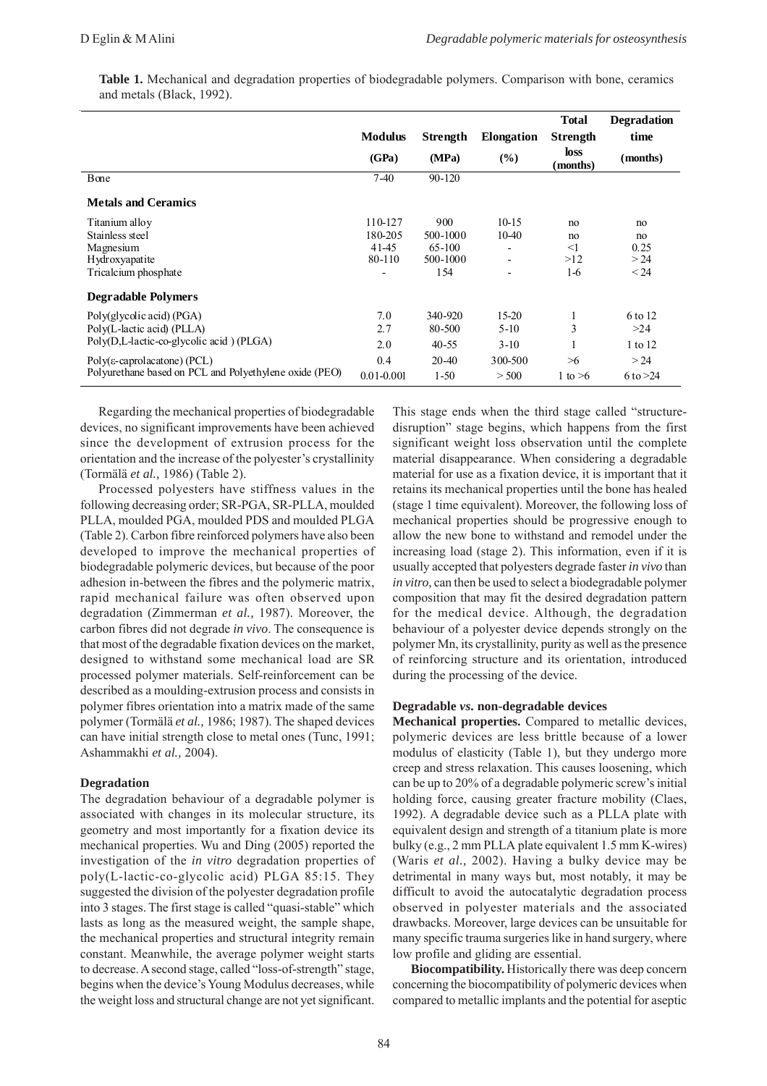**Table 1.** Mechanical and degradation properties of biodegradable polymers. Comparison with bone, ceramics and metals (Black, 1992).

|                                                        |                |            |                          | <b>Total</b>            | <b>Degradation</b> |
|--------------------------------------------------------|----------------|------------|--------------------------|-------------------------|--------------------|
|                                                        | <b>Modulus</b> | Strength   | <b>Elongation</b>        | Strength                | time               |
|                                                        | (GPa)          | (MPa)      | $\frac{9}{6}$            | <b>loss</b><br>(months) | (months)           |
| Bone                                                   | $7-40$         | $90 - 120$ |                          |                         |                    |
| <b>Metals and Ceramics</b>                             |                |            |                          |                         |                    |
| Titanium alloy                                         | 110-127        | 900        | $10-15$                  | no                      | no                 |
| Stainless steel                                        | 180-205        | 500-1000   | 10-40                    | no                      | no                 |
| Magnesium                                              | 41-45          | 65-100     | $\overline{\phantom{a}}$ | $\leq$ 1                | 0.25               |
| Hydroxyapatite                                         | 80-110         | 500-1000   | $\overline{\phantom{a}}$ | >12                     | > 24               |
| Tricalcium phosphate                                   |                | 154        | $\overline{\phantom{a}}$ | $1-6$                   | < 24               |
| <b>Degradable Polymers</b>                             |                |            |                          |                         |                    |
| Poly(glycolic acid) (PGA)                              | 7.0            | 340-920    | $15 - 20$                | 1                       | 6 to 12            |
| Poly(L-lactic acid) (PLLA)                             | 2.7            | 80-500     | $5-10$                   | 3                       | >24                |
| Poly(D,L-lactic-co-glycolic acid) (PLGA)               | 2.0            | $40 - 55$  | $3-10$                   | л.                      | 1 to 12            |
| $Poly(\epsilon$ -caprolacatone) (PCL)                  | 0.4            | 20-40      | 300-500                  | >6                      | > 24               |
| Polyurethane based on PCL and Polyethylene oxide (PEO) | $0.01 - 0.001$ | $1 - 50$   | > 500                    | 1 to $>6$               | 6 to $>24$         |

Regarding the mechanical properties of biodegradable devices, no significant improvements have been achieved since the development of extrusion process for the orientation and the increase of the polyester's crystallinity (Tormälä *et al.,* 1986) (Table 2).

Processed polyesters have stiffness values in the following decreasing order; SR-PGA, SR-PLLA, moulded PLLA, moulded PGA, moulded PDS and moulded PLGA (Table 2). Carbon fibre reinforced polymers have also been developed to improve the mechanical properties of biodegradable polymeric devices, but because of the poor adhesion in-between the fibres and the polymeric matrix, rapid mechanical failure was often observed upon degradation (Zimmerman *et al.,* 1987). Moreover, the carbon fibres did not degrade *in vivo*. The consequence is that most of the degradable fixation devices on the market, designed to withstand some mechanical load are SR processed polymer materials. Self-reinforcement can be described as a moulding-extrusion process and consists in polymer fibres orientation into a matrix made of the same polymer (Tormälä *et al.,* 1986; 1987). The shaped devices can have initial strength close to metal ones (Tunc, 1991; Ashammakhi *et al.,* 2004).

### **Degradation**

The degradation behaviour of a degradable polymer is associated with changes in its molecular structure, its geometry and most importantly for a fixation device its mechanical properties. Wu and Ding (2005) reported the investigation of the *in vitro* degradation properties of poly(L-lactic-co-glycolic acid) PLGA 85:15. They suggested the division of the polyester degradation profile into 3 stages. The first stage is called "quasi-stable" which lasts as long as the measured weight, the sample shape, the mechanical properties and structural integrity remain constant. Meanwhile, the average polymer weight starts to decrease. A second stage, called "loss-of-strength" stage, begins when the device's Young Modulus decreases, while the weight loss and structural change are not yet significant.

This stage ends when the third stage called "structuredisruption" stage begins, which happens from the first significant weight loss observation until the complete material disappearance. When considering a degradable material for use as a fixation device, it is important that it retains its mechanical properties until the bone has healed (stage 1 time equivalent). Moreover, the following loss of mechanical properties should be progressive enough to allow the new bone to withstand and remodel under the increasing load (stage 2). This information, even if it is usually accepted that polyesters degrade faster *in vivo* than *in vitro,* can then be used to select a biodegradable polymer composition that may fit the desired degradation pattern for the medical device. Although, the degradation behaviour of a polyester device depends strongly on the polymer Mn, its crystallinity, purity as well as the presence of reinforcing structure and its orientation, introduced during the processing of the device.

### **Degradable** *vs***. non-degradable devices**

**Mechanical properties.** Compared to metallic devices, polymeric devices are less brittle because of a lower modulus of elasticity (Table 1), but they undergo more creep and stress relaxation. This causes loosening, which can be up to 20% of a degradable polymeric screw's initial holding force, causing greater fracture mobility (Claes, 1992). A degradable device such as a PLLA plate with equivalent design and strength of a titanium plate is more bulky (e.g., 2 mm PLLA plate equivalent 1.5 mm K-wires) (Waris *et al.,* 2002). Having a bulky device may be detrimental in many ways but, most notably, it may be difficult to avoid the autocatalytic degradation process observed in polyester materials and the associated drawbacks. Moreover, large devices can be unsuitable for many specific trauma surgeries like in hand surgery, where low profile and gliding are essential.

**Biocompatibility.** Historically there was deep concern concerning the biocompatibility of polymeric devices when compared to metallic implants and the potential for aseptic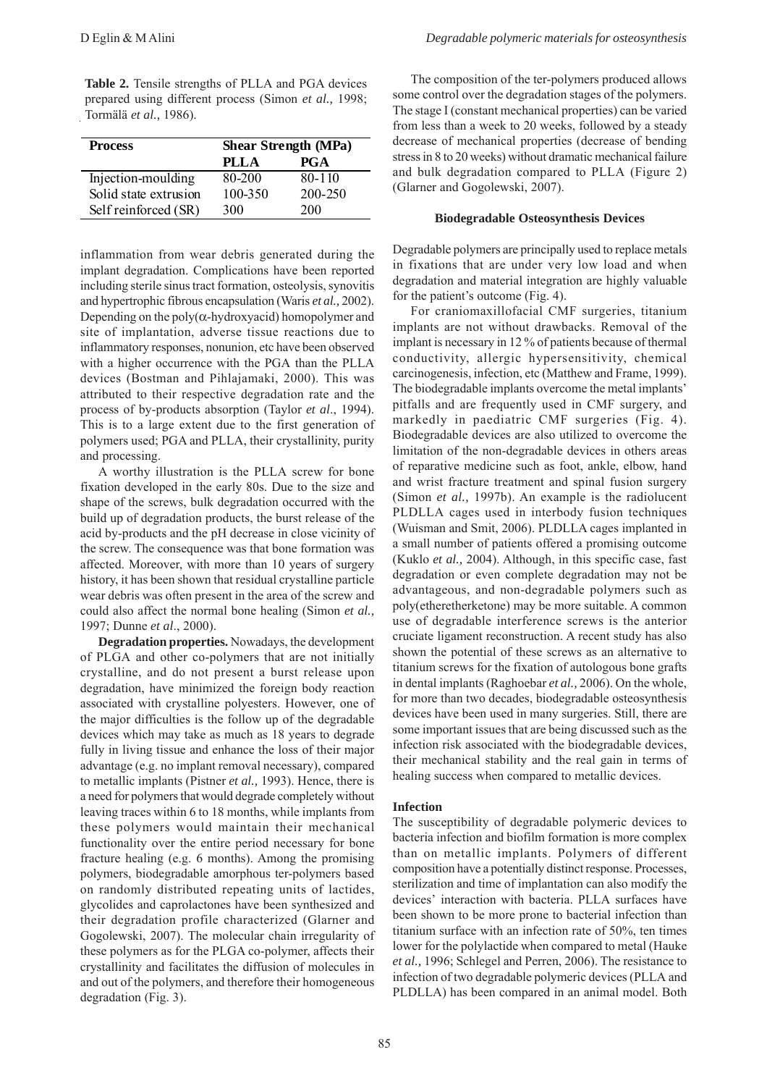Table 2. Tensile strengths of PLLA and PGA devices prepared using different process (Simon *et al.,* 1998; Tormälä *et al.,* 1986).

| <b>Process</b>        | <b>Shear Strength (MPa)</b> |            |  |  |
|-----------------------|-----------------------------|------------|--|--|
|                       | PLLA                        | <b>PGA</b> |  |  |
| Injection-moulding    | 80-200                      | $80 - 110$ |  |  |
| Solid state extrusion | 100-350                     | 200-250    |  |  |
| Self reinforced (SR)  | 300                         | 200        |  |  |

inflammation from wear debris generated during the implant degradation. Complications have been reported including sterile sinus tract formation, osteolysis, synovitis and hypertrophic fibrous encapsulation (Waris *et al.,* 2002). Depending on the poly $(\alpha$ -hydroxyacid) homopolymer and site of implantation, adverse tissue reactions due to inflammatory responses, nonunion, etc have been observed with a higher occurrence with the PGA than the PLLA devices (Bostman and Pihlajamaki, 2000). This was attributed to their respective degradation rate and the process of by-products absorption (Taylor *et al*., 1994). This is to a large extent due to the first generation of polymers used; PGA and PLLA, their crystallinity, purity and processing.

A worthy illustration is the PLLA screw for bone fixation developed in the early 80s. Due to the size and shape of the screws, bulk degradation occurred with the build up of degradation products, the burst release of the acid by-products and the pH decrease in close vicinity of the screw. The consequence was that bone formation was affected. Moreover, with more than 10 years of surgery history, it has been shown that residual crystalline particle wear debris was often present in the area of the screw and could also affect the normal bone healing (Simon *et al.,* 1997; Dunne *et al*., 2000).

**Degradation properties.** Nowadays, the development of PLGA and other co-polymers that are not initially crystalline, and do not present a burst release upon degradation, have minimized the foreign body reaction associated with crystalline polyesters. However, one of the major difficulties is the follow up of the degradable devices which may take as much as 18 years to degrade fully in living tissue and enhance the loss of their major advantage (e.g. no implant removal necessary), compared to metallic implants (Pistner *et al.,* 1993). Hence, there is a need for polymers that would degrade completely without leaving traces within 6 to 18 months, while implants from these polymers would maintain their mechanical functionality over the entire period necessary for bone fracture healing (e.g. 6 months). Among the promising polymers, biodegradable amorphous ter-polymers based on randomly distributed repeating units of lactides, glycolides and caprolactones have been synthesized and their degradation profile characterized (Glarner and Gogolewski, 2007). The molecular chain irregularity of these polymers as for the PLGA co-polymer, affects their crystallinity and facilitates the diffusion of molecules in and out of the polymers, and therefore their homogeneous degradation (Fig. 3).

The composition of the ter-polymers produced allows some control over the degradation stages of the polymers. The stage I (constant mechanical properties) can be varied from less than a week to 20 weeks, followed by a steady decrease of mechanical properties (decrease of bending stress in 8 to 20 weeks) without dramatic mechanical failure and bulk degradation compared to PLLA (Figure 2) (Glarner and Gogolewski, 2007).

#### **Biodegradable Osteosynthesis Devices**

Degradable polymers are principally used to replace metals in fixations that are under very low load and when degradation and material integration are highly valuable for the patient's outcome (Fig. 4).

For craniomaxillofacial CMF surgeries, titanium implants are not without drawbacks. Removal of the implant is necessary in 12 % of patients because of thermal conductivity, allergic hypersensitivity, chemical carcinogenesis, infection, etc (Matthew and Frame, 1999). The biodegradable implants overcome the metal implants' pitfalls and are frequently used in CMF surgery, and markedly in paediatric CMF surgeries (Fig. 4). Biodegradable devices are also utilized to overcome the limitation of the non-degradable devices in others areas of reparative medicine such as foot, ankle, elbow, hand and wrist fracture treatment and spinal fusion surgery (Simon *et al.,* 1997b). An example is the radiolucent PLDLLA cages used in interbody fusion techniques (Wuisman and Smit, 2006). PLDLLA cages implanted in a small number of patients offered a promising outcome (Kuklo *et al.,* 2004). Although, in this specific case, fast degradation or even complete degradation may not be advantageous, and non-degradable polymers such as poly(etheretherketone) may be more suitable. A common use of degradable interference screws is the anterior cruciate ligament reconstruction. A recent study has also shown the potential of these screws as an alternative to titanium screws for the fixation of autologous bone grafts in dental implants (Raghoebar *et al.,* 2006). On the whole, for more than two decades, biodegradable osteosynthesis devices have been used in many surgeries. Still, there are some important issues that are being discussed such as the infection risk associated with the biodegradable devices, their mechanical stability and the real gain in terms of healing success when compared to metallic devices.

### **Infection**

The susceptibility of degradable polymeric devices to bacteria infection and biofilm formation is more complex than on metallic implants. Polymers of different composition have a potentially distinct response. Processes, sterilization and time of implantation can also modify the devices' interaction with bacteria. PLLA surfaces have been shown to be more prone to bacterial infection than titanium surface with an infection rate of 50%, ten times lower for the polylactide when compared to metal (Hauke *et al.,* 1996; Schlegel and Perren, 2006). The resistance to infection of two degradable polymeric devices (PLLA and PLDLLA) has been compared in an animal model. Both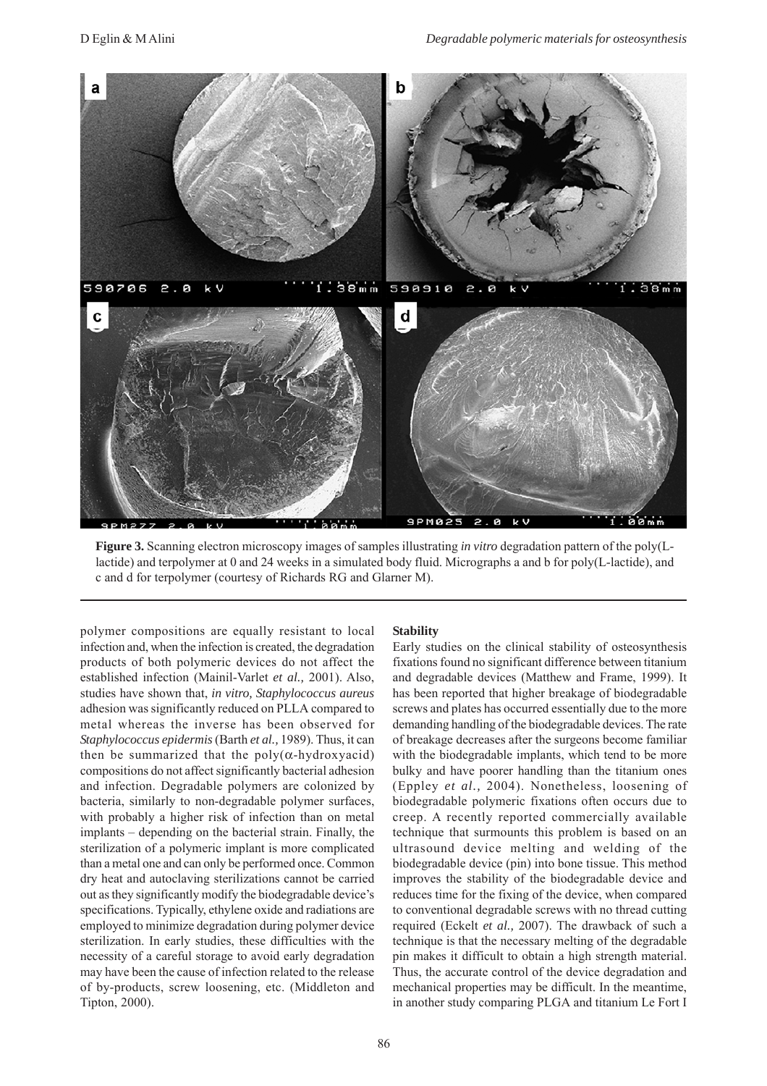

**Figure 3.** Scanning electron microscopy images of samples illustrating *in vitro* degradation pattern of the poly(Llactide) and terpolymer at 0 and 24 weeks in a simulated body fluid. Micrographs a and b for poly(L-lactide), and c and d for terpolymer (courtesy of Richards RG and Glarner M).

polymer compositions are equally resistant to local infection and, when the infection is created, the degradation products of both polymeric devices do not affect the established infection (Mainil-Varlet *et al.,* 2001). Also, studies have shown that, *in vitro, Staphylococcus aureus* adhesion was significantly reduced on PLLA compared to metal whereas the inverse has been observed for *Staphylococcus epidermis* (Barth *et al.,* 1989). Thus, it can then be summarized that the  $poly(\alpha-hydroxyacid)$ compositions do not affect significantly bacterial adhesion and infection. Degradable polymers are colonized by bacteria, similarly to non-degradable polymer surfaces, with probably a higher risk of infection than on metal implants – depending on the bacterial strain. Finally, the sterilization of a polymeric implant is more complicated than a metal one and can only be performed once. Common dry heat and autoclaving sterilizations cannot be carried out as they significantly modify the biodegradable device's specifications. Typically, ethylene oxide and radiations are employed to minimize degradation during polymer device sterilization. In early studies, these difficulties with the necessity of a careful storage to avoid early degradation may have been the cause of infection related to the release of by-products, screw loosening, etc. (Middleton and Tipton, 2000).

# **Stability**

Early studies on the clinical stability of osteosynthesis fixations found no significant difference between titanium and degradable devices (Matthew and Frame, 1999). It has been reported that higher breakage of biodegradable screws and plates has occurred essentially due to the more demanding handling of the biodegradable devices. The rate of breakage decreases after the surgeons become familiar with the biodegradable implants, which tend to be more bulky and have poorer handling than the titanium ones (Eppley *et al.,* 2004). Nonetheless, loosening of biodegradable polymeric fixations often occurs due to creep. A recently reported commercially available technique that surmounts this problem is based on an ultrasound device melting and welding of the biodegradable device (pin) into bone tissue. This method improves the stability of the biodegradable device and reduces time for the fixing of the device, when compared to conventional degradable screws with no thread cutting required (Eckelt *et al.,* 2007). The drawback of such a technique is that the necessary melting of the degradable pin makes it difficult to obtain a high strength material. Thus, the accurate control of the device degradation and mechanical properties may be difficult. In the meantime, in another study comparing PLGA and titanium Le Fort I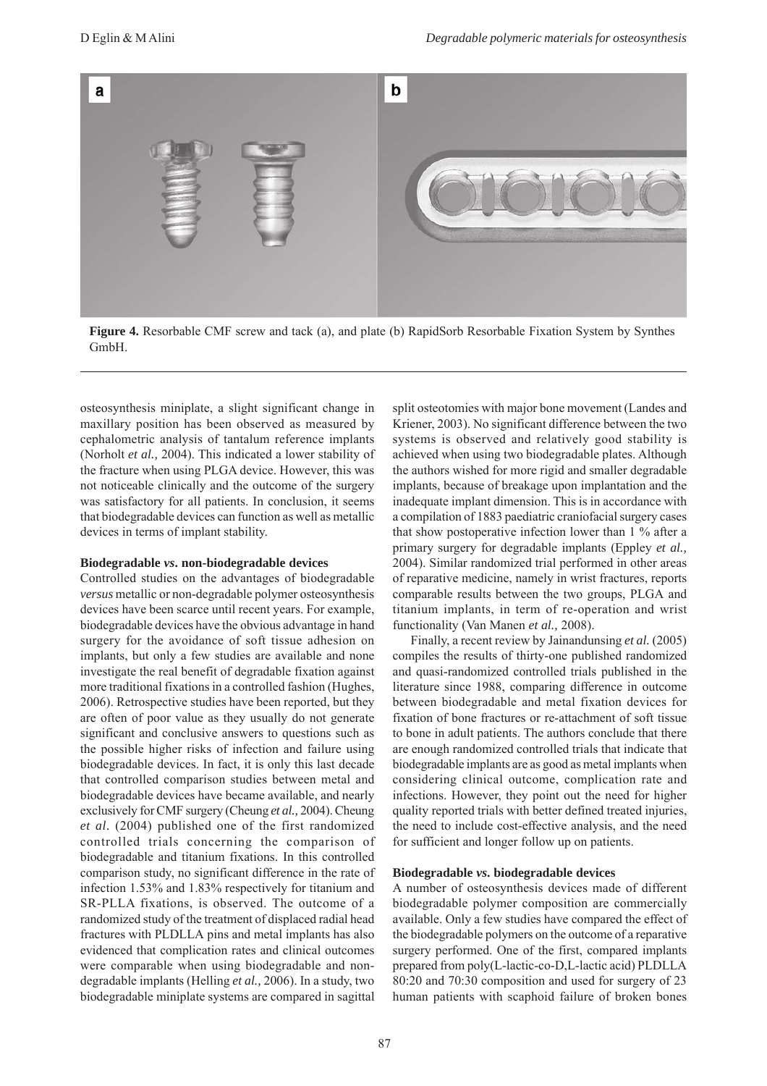

**Figure 4.** Resorbable CMF screw and tack (a), and plate (b) RapidSorb Resorbable Fixation System by Synthes GmbH.

osteosynthesis miniplate, a slight significant change in maxillary position has been observed as measured by cephalometric analysis of tantalum reference implants (Norholt *et al.,* 2004). This indicated a lower stability of the fracture when using PLGA device. However, this was not noticeable clinically and the outcome of the surgery was satisfactory for all patients. In conclusion, it seems that biodegradable devices can function as well as metallic devices in terms of implant stability.

#### **Biodegradable** *vs***. non-biodegradable devices**

Controlled studies on the advantages of biodegradable *versus* metallic or non-degradable polymer osteosynthesis devices have been scarce until recent years. For example, biodegradable devices have the obvious advantage in hand surgery for the avoidance of soft tissue adhesion on implants, but only a few studies are available and none investigate the real benefit of degradable fixation against more traditional fixations in a controlled fashion (Hughes, 2006). Retrospective studies have been reported, but they are often of poor value as they usually do not generate significant and conclusive answers to questions such as the possible higher risks of infection and failure using biodegradable devices. In fact, it is only this last decade that controlled comparison studies between metal and biodegradable devices have became available, and nearly exclusively for CMF surgery (Cheung *et al.,* 2004). Cheung *et al.* (2004) published one of the first randomized controlled trials concerning the comparison of biodegradable and titanium fixations. In this controlled comparison study, no significant difference in the rate of infection 1.53% and 1.83% respectively for titanium and SR-PLLA fixations, is observed. The outcome of a randomized study of the treatment of displaced radial head fractures with PLDLLA pins and metal implants has also evidenced that complication rates and clinical outcomes were comparable when using biodegradable and nondegradable implants (Helling *et al.,* 2006). In a study, two biodegradable miniplate systems are compared in sagittal

split osteotomies with major bone movement (Landes and Kriener, 2003). No significant difference between the two systems is observed and relatively good stability is achieved when using two biodegradable plates. Although the authors wished for more rigid and smaller degradable implants, because of breakage upon implantation and the inadequate implant dimension. This is in accordance with a compilation of 1883 paediatric craniofacial surgery cases that show postoperative infection lower than 1 % after a primary surgery for degradable implants (Eppley *et al.,* 2004). Similar randomized trial performed in other areas of reparative medicine, namely in wrist fractures, reports comparable results between the two groups, PLGA and titanium implants, in term of re-operation and wrist functionality (Van Manen *et al.,* 2008).

Finally, a recent review by Jainandunsing *et al.* (2005) compiles the results of thirty-one published randomized and quasi-randomized controlled trials published in the literature since 1988, comparing difference in outcome between biodegradable and metal fixation devices for fixation of bone fractures or re-attachment of soft tissue to bone in adult patients. The authors conclude that there are enough randomized controlled trials that indicate that biodegradable implants are as good as metal implants when considering clinical outcome, complication rate and infections. However, they point out the need for higher quality reported trials with better defined treated injuries, the need to include cost-effective analysis, and the need for sufficient and longer follow up on patients.

#### **Biodegradable** *vs***. biodegradable devices**

A number of osteosynthesis devices made of different biodegradable polymer composition are commercially available. Only a few studies have compared the effect of the biodegradable polymers on the outcome of a reparative surgery performed. One of the first, compared implants prepared from poly(L-lactic-co-D,L-lactic acid) PLDLLA 80:20 and 70:30 composition and used for surgery of 23 human patients with scaphoid failure of broken bones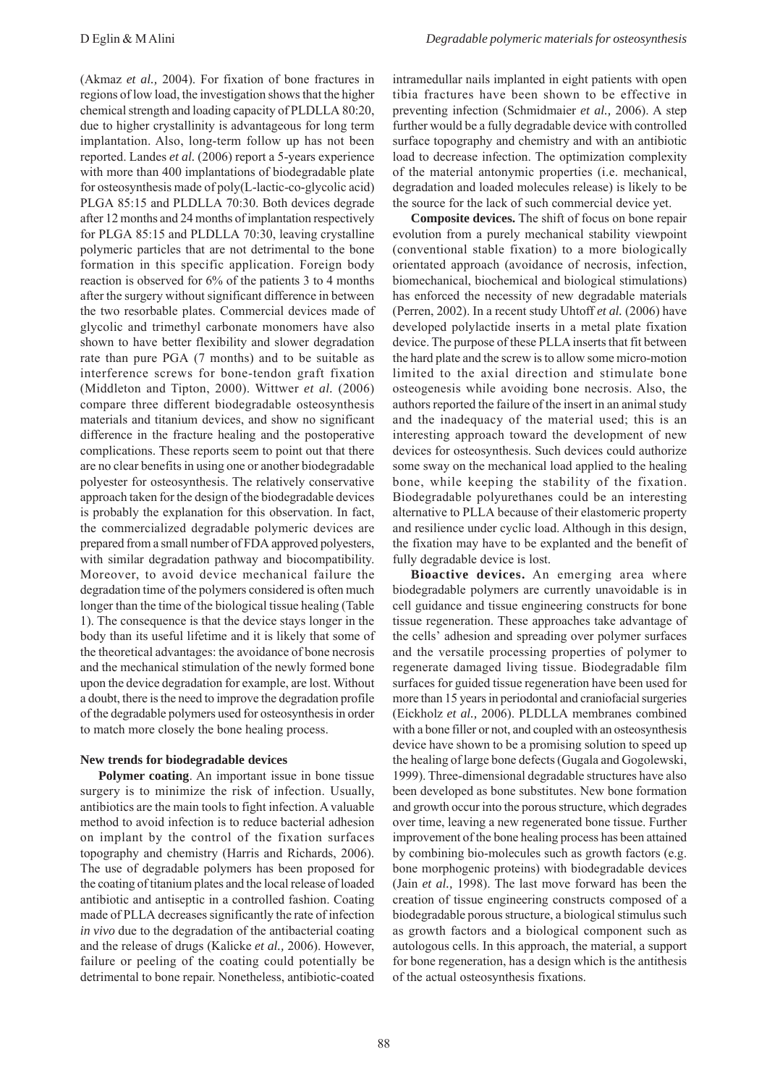(Akmaz *et al.,* 2004). For fixation of bone fractures in regions of low load, the investigation shows that the higher chemical strength and loading capacity of PLDLLA 80:20, due to higher crystallinity is advantageous for long term implantation. Also, long-term follow up has not been reported. Landes *et al.* (2006) report a 5-years experience with more than 400 implantations of biodegradable plate for osteosynthesis made of poly(L-lactic-co-glycolic acid) PLGA 85:15 and PLDLLA 70:30. Both devices degrade after 12 months and 24 months of implantation respectively for PLGA 85:15 and PLDLLA 70:30, leaving crystalline polymeric particles that are not detrimental to the bone formation in this specific application. Foreign body reaction is observed for 6% of the patients 3 to 4 months after the surgery without significant difference in between the two resorbable plates. Commercial devices made of glycolic and trimethyl carbonate monomers have also shown to have better flexibility and slower degradation rate than pure PGA (7 months) and to be suitable as interference screws for bone-tendon graft fixation (Middleton and Tipton, 2000). Wittwer *et al.* (2006) compare three different biodegradable osteosynthesis materials and titanium devices, and show no significant difference in the fracture healing and the postoperative complications. These reports seem to point out that there are no clear benefits in using one or another biodegradable polyester for osteosynthesis. The relatively conservative approach taken for the design of the biodegradable devices is probably the explanation for this observation. In fact, the commercialized degradable polymeric devices are prepared from a small number of FDA approved polyesters, with similar degradation pathway and biocompatibility. Moreover, to avoid device mechanical failure the degradation time of the polymers considered is often much longer than the time of the biological tissue healing (Table 1). The consequence is that the device stays longer in the body than its useful lifetime and it is likely that some of the theoretical advantages: the avoidance of bone necrosis and the mechanical stimulation of the newly formed bone upon the device degradation for example, are lost. Without a doubt, there is the need to improve the degradation profile of the degradable polymers used for osteosynthesis in order to match more closely the bone healing process.

## **New trends for biodegradable devices**

**Polymer coating**. An important issue in bone tissue surgery is to minimize the risk of infection. Usually, antibiotics are the main tools to fight infection. A valuable method to avoid infection is to reduce bacterial adhesion on implant by the control of the fixation surfaces topography and chemistry (Harris and Richards, 2006). The use of degradable polymers has been proposed for the coating of titanium plates and the local release of loaded antibiotic and antiseptic in a controlled fashion. Coating made of PLLA decreases significantly the rate of infection *in vivo* due to the degradation of the antibacterial coating and the release of drugs (Kalicke *et al.,* 2006). However, failure or peeling of the coating could potentially be detrimental to bone repair. Nonetheless, antibiotic-coated intramedullar nails implanted in eight patients with open tibia fractures have been shown to be effective in preventing infection (Schmidmaier *et al.,* 2006). A step further would be a fully degradable device with controlled surface topography and chemistry and with an antibiotic load to decrease infection. The optimization complexity of the material antonymic properties (i.e. mechanical, degradation and loaded molecules release) is likely to be the source for the lack of such commercial device yet.

**Composite devices.** The shift of focus on bone repair evolution from a purely mechanical stability viewpoint (conventional stable fixation) to a more biologically orientated approach (avoidance of necrosis, infection, biomechanical, biochemical and biological stimulations) has enforced the necessity of new degradable materials (Perren, 2002). In a recent study Uhtoff *et al.* (2006) have developed polylactide inserts in a metal plate fixation device. The purpose of these PLLA inserts that fit between the hard plate and the screw is to allow some micro-motion limited to the axial direction and stimulate bone osteogenesis while avoiding bone necrosis. Also, the authors reported the failure of the insert in an animal study and the inadequacy of the material used; this is an interesting approach toward the development of new devices for osteosynthesis. Such devices could authorize some sway on the mechanical load applied to the healing bone, while keeping the stability of the fixation. Biodegradable polyurethanes could be an interesting alternative to PLLA because of their elastomeric property and resilience under cyclic load. Although in this design, the fixation may have to be explanted and the benefit of fully degradable device is lost.

**Bioactive devices.** An emerging area where biodegradable polymers are currently unavoidable is in cell guidance and tissue engineering constructs for bone tissue regeneration. These approaches take advantage of the cells' adhesion and spreading over polymer surfaces and the versatile processing properties of polymer to regenerate damaged living tissue. Biodegradable film surfaces for guided tissue regeneration have been used for more than 15 years in periodontal and craniofacial surgeries (Eickholz *et al.,* 2006). PLDLLA membranes combined with a bone filler or not, and coupled with an osteosynthesis device have shown to be a promising solution to speed up the healing of large bone defects (Gugala and Gogolewski, 1999). Three-dimensional degradable structures have also been developed as bone substitutes. New bone formation and growth occur into the porous structure, which degrades over time, leaving a new regenerated bone tissue. Further improvement of the bone healing process has been attained by combining bio-molecules such as growth factors (e.g. bone morphogenic proteins) with biodegradable devices (Jain *et al.,* 1998). The last move forward has been the creation of tissue engineering constructs composed of a biodegradable porous structure, a biological stimulus such as growth factors and a biological component such as autologous cells. In this approach, the material, a support for bone regeneration, has a design which is the antithesis of the actual osteosynthesis fixations.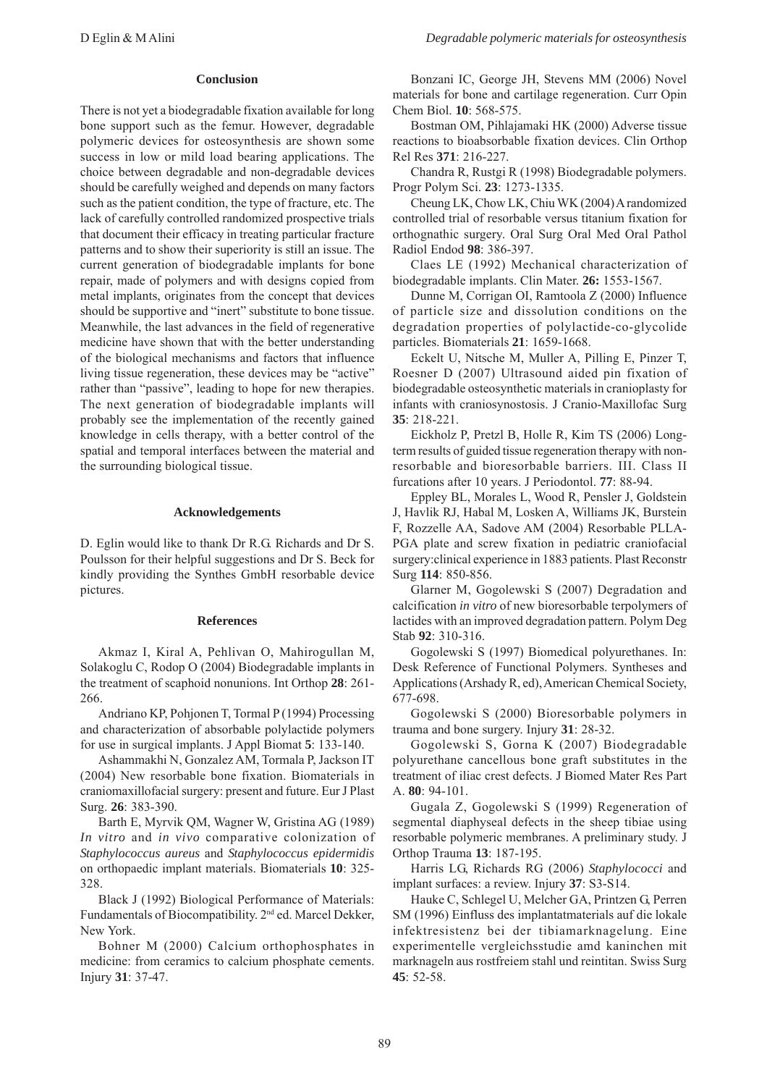### **Conclusion**

There is not yet a biodegradable fixation available for long bone support such as the femur. However, degradable polymeric devices for osteosynthesis are shown some success in low or mild load bearing applications. The choice between degradable and non-degradable devices should be carefully weighed and depends on many factors such as the patient condition, the type of fracture, etc. The lack of carefully controlled randomized prospective trials that document their efficacy in treating particular fracture patterns and to show their superiority is still an issue. The current generation of biodegradable implants for bone repair, made of polymers and with designs copied from metal implants, originates from the concept that devices should be supportive and "inert" substitute to bone tissue. Meanwhile, the last advances in the field of regenerative medicine have shown that with the better understanding of the biological mechanisms and factors that influence living tissue regeneration, these devices may be "active" rather than "passive", leading to hope for new therapies. The next generation of biodegradable implants will probably see the implementation of the recently gained knowledge in cells therapy, with a better control of the spatial and temporal interfaces between the material and the surrounding biological tissue.

#### **Acknowledgements**

D. Eglin would like to thank Dr R.G. Richards and Dr S. Poulsson for their helpful suggestions and Dr S. Beck for kindly providing the Synthes GmbH resorbable device pictures.

#### **References**

Akmaz I, Kiral A, Pehlivan O, Mahirogullan M, Solakoglu C, Rodop O (2004) Biodegradable implants in the treatment of scaphoid nonunions. Int Orthop **28**: 261- 266.

Andriano KP, Pohjonen T, Tormal P (1994) Processing and characterization of absorbable polylactide polymers for use in surgical implants. J Appl Biomat **5**: 133-140.

Ashammakhi N, Gonzalez AM, Tormala P, Jackson IT (2004) New resorbable bone fixation. Biomaterials in craniomaxillofacial surgery: present and future. Eur J Plast Surg. **26**: 383-390.

Barth E, Myrvik QM, Wagner W, Gristina AG (1989) *In vitro* and *in vivo* comparative colonization of *Staphylococcus aureus* and *Staphylococcus epidermidis* on orthopaedic implant materials. Biomaterials **10**: 325- 328.

Black J (1992) Biological Performance of Materials: Fundamentals of Biocompatibility. 2<sup>nd</sup> ed. Marcel Dekker, New York.

Bohner M (2000) Calcium orthophosphates in medicine: from ceramics to calcium phosphate cements. Injury **31**: 37-47.

Bonzani IC, George JH, Stevens MM (2006) Novel materials for bone and cartilage regeneration. Curr Opin Chem Biol. **10**: 568-575.

Bostman OM, Pihlajamaki HK (2000) Adverse tissue reactions to bioabsorbable fixation devices. Clin Orthop Rel Res **371**: 216-227.

Chandra R, Rustgi R (1998) Biodegradable polymers. Progr Polym Sci. **23**: 1273-1335.

Cheung LK, Chow LK, Chiu WK (2004) A randomized controlled trial of resorbable versus titanium fixation for orthognathic surgery. Oral Surg Oral Med Oral Pathol Radiol Endod **98**: 386-397.

Claes LE (1992) Mechanical characterization of biodegradable implants. Clin Mater. **26:** 1553-1567.

Dunne M, Corrigan OI, Ramtoola Z (2000) Influence of particle size and dissolution conditions on the degradation properties of polylactide-co-glycolide particles. Biomaterials **21**: 1659-1668.

Eckelt U, Nitsche M, Muller A, Pilling E, Pinzer T, Roesner D (2007) Ultrasound aided pin fixation of biodegradable osteosynthetic materials in cranioplasty for infants with craniosynostosis. J Cranio-Maxillofac Surg **35**: 218-221.

Eickholz P, Pretzl B, Holle R, Kim TS (2006) Longterm results of guided tissue regeneration therapy with nonresorbable and bioresorbable barriers. III. Class II furcations after 10 years. J Periodontol. **77**: 88-94.

Eppley BL, Morales L, Wood R, Pensler J, Goldstein J, Havlik RJ, Habal M, Losken A, Williams JK, Burstein F, Rozzelle AA, Sadove AM (2004) Resorbable PLLA-PGA plate and screw fixation in pediatric craniofacial surgery:clinical experience in 1883 patients. Plast Reconstr Surg **114**: 850-856.

Glarner M, Gogolewski S (2007) Degradation and calcification *in vitro* of new bioresorbable terpolymers of lactides with an improved degradation pattern. Polym Deg Stab **92**: 310-316.

Gogolewski S (1997) Biomedical polyurethanes. In: Desk Reference of Functional Polymers. Syntheses and Applications (Arshady R, ed), American Chemical Society, 677-698.

Gogolewski S (2000) Bioresorbable polymers in trauma and bone surgery. Injury **31**: 28-32.

Gogolewski S, Gorna K (2007) Biodegradable polyurethane cancellous bone graft substitutes in the treatment of iliac crest defects. J Biomed Mater Res Part A. **80**: 94-101.

Gugala Z, Gogolewski S (1999) Regeneration of segmental diaphyseal defects in the sheep tibiae using resorbable polymeric membranes. A preliminary study. J Orthop Trauma **13**: 187-195.

Harris LG, Richards RG (2006) *Staphylococci* and implant surfaces: a review. Injury **37**: S3-S14.

Hauke C, Schlegel U, Melcher GA, Printzen G, Perren SM (1996) Einfluss des implantatmaterials auf die lokale infektresistenz bei der tibiamarknagelung. Eine experimentelle vergleichsstudie amd kaninchen mit marknageln aus rostfreiem stahl und reintitan. Swiss Surg **45**: 52-58.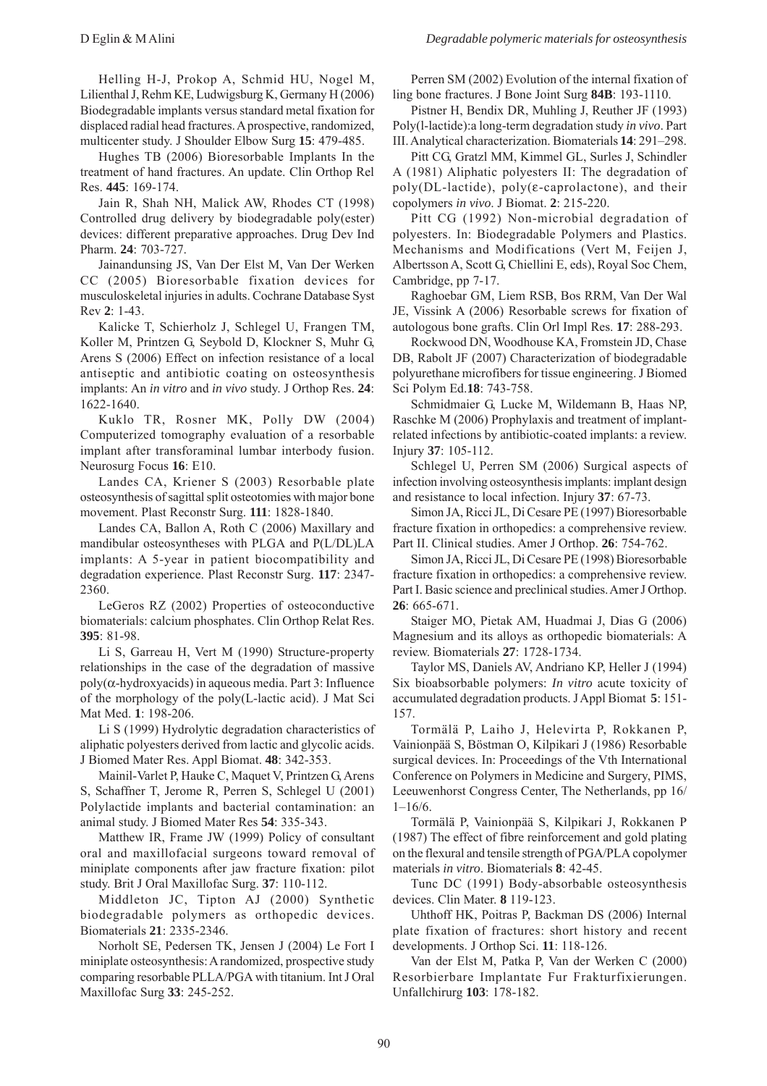Helling H-J, Prokop A, Schmid HU, Nogel M, Lilienthal J, Rehm KE, Ludwigsburg K, Germany H (2006) Biodegradable implants versus standard metal fixation for displaced radial head fractures. A prospective, randomized, multicenter study. J Shoulder Elbow Surg **15**: 479-485.

Hughes TB (2006) Bioresorbable Implants In the treatment of hand fractures. An update. Clin Orthop Rel Res. **445**: 169-174.

Jain R, Shah NH, Malick AW, Rhodes CT (1998) Controlled drug delivery by biodegradable poly(ester) devices: different preparative approaches. Drug Dev Ind Pharm. **24**: 703-727.

Jainandunsing JS, Van Der Elst M, Van Der Werken CC (2005) Bioresorbable fixation devices for musculoskeletal injuries in adults. Cochrane Database Syst Rev **2**: 1-43.

Kalicke T, Schierholz J, Schlegel U, Frangen TM, Koller M, Printzen G, Seybold D, Klockner S, Muhr G, Arens S (2006) Effect on infection resistance of a local antiseptic and antibiotic coating on osteosynthesis implants: An *in vitro* and *in vivo* study. J Orthop Res. **24**: 1622-1640.

Kuklo TR, Rosner MK, Polly DW (2004) Computerized tomography evaluation of a resorbable implant after transforaminal lumbar interbody fusion. Neurosurg Focus **16**: E10.

Landes CA, Kriener S (2003) Resorbable plate osteosynthesis of sagittal split osteotomies with major bone movement. Plast Reconstr Surg. **111**: 1828-1840.

Landes CA, Ballon A, Roth C (2006) Maxillary and mandibular osteosyntheses with PLGA and P(L/DL)LA implants: A 5-year in patient biocompatibility and degradation experience. Plast Reconstr Surg. **117**: 2347- 2360.

LeGeros RZ (2002) Properties of osteoconductive biomaterials: calcium phosphates. Clin Orthop Relat Res. **395**: 81-98.

Li S, Garreau H, Vert M (1990) Structure-property relationships in the case of the degradation of massive poly(α-hydroxyacids) in aqueous media. Part 3: Influence of the morphology of the poly(L-lactic acid). J Mat Sci Mat Med. **1**: 198-206.

Li S (1999) Hydrolytic degradation characteristics of aliphatic polyesters derived from lactic and glycolic acids. J Biomed Mater Res. Appl Biomat. **48**: 342-353.

Mainil-Varlet P, Hauke C, Maquet V, Printzen G, Arens S, Schaffner T, Jerome R, Perren S, Schlegel U (2001) Polylactide implants and bacterial contamination: an animal study. J Biomed Mater Res **54**: 335-343.

Matthew IR, Frame JW (1999) Policy of consultant oral and maxillofacial surgeons toward removal of miniplate components after jaw fracture fixation: pilot study. Brit J Oral Maxillofac Surg. **37**: 110-112.

Middleton JC, Tipton AJ (2000) Synthetic biodegradable polymers as orthopedic devices. Biomaterials **21**: 2335-2346.

Norholt SE, Pedersen TK, Jensen J (2004) Le Fort I miniplate osteosynthesis: A randomized, prospective study comparing resorbable PLLA/PGA with titanium. Int J Oral Maxillofac Surg **33**: 245-252.

Perren SM (2002) Evolution of the internal fixation of ling bone fractures. J Bone Joint Surg **84B**: 193-1110.

Pistner H, Bendix DR, Muhling J, Reuther JF (1993) Poly(l-lactide):a long-term degradation study *in vivo*. Part III. Analytical characterization. Biomaterials **14**: 291–298.

Pitt CG, Gratzl MM, Kimmel GL, Surles J, Schindler A (1981) Aliphatic polyesters II: The degradation of poly(DL-lactide), poly( $\varepsilon$ -caprolactone), and their copolymers *in vivo*. J Biomat. **2**: 215-220.

Pitt CG (1992) Non-microbial degradation of polyesters. In: Biodegradable Polymers and Plastics. Mechanisms and Modifications (Vert M, Feijen J, Albertsson A, Scott G, Chiellini E, eds), Royal Soc Chem, Cambridge, pp 7-17.

Raghoebar GM, Liem RSB, Bos RRM, Van Der Wal JE, Vissink A (2006) Resorbable screws for fixation of autologous bone grafts. Clin Orl Impl Res. **17**: 288-293.

Rockwood DN, Woodhouse KA, Fromstein JD, Chase DB, Rabolt JF (2007) Characterization of biodegradable polyurethane microfibers for tissue engineering. J Biomed Sci Polym Ed.**18**: 743-758.

Schmidmaier G, Lucke M, Wildemann B, Haas NP, Raschke M (2006) Prophylaxis and treatment of implantrelated infections by antibiotic-coated implants: a review. Injury **37**: 105-112.

Schlegel U, Perren SM (2006) Surgical aspects of infection involving osteosynthesis implants: implant design and resistance to local infection. Injury **37**: 67-73.

Simon JA, Ricci JL, Di Cesare PE (1997) Bioresorbable fracture fixation in orthopedics: a comprehensive review. Part II. Clinical studies. Amer J Orthop. **26**: 754-762.

Simon JA, Ricci JL, Di Cesare PE (1998) Bioresorbable fracture fixation in orthopedics: a comprehensive review. Part I. Basic science and preclinical studies. Amer J Orthop. **26**: 665-671.

Staiger MO, Pietak AM, Huadmai J, Dias G (2006) Magnesium and its alloys as orthopedic biomaterials: A review. Biomaterials **27**: 1728-1734.

Taylor MS, Daniels AV, Andriano KP, Heller J (1994) Six bioabsorbable polymers: *In vitro* acute toxicity of accumulated degradation products. J Appl Biomat **5**: 151- 157.

Tormälä P, Laiho J, Helevirta P, Rokkanen P, Vainionpää S, Böstman O, Kilpikari J (1986) Resorbable surgical devices. In: Proceedings of the Vth International Conference on Polymers in Medicine and Surgery, PIMS, Leeuwenhorst Congress Center, The Netherlands, pp 16/  $1 - 16/6$ .

Tormälä P, Vainionpää S, Kilpikari J, Rokkanen P (1987) The effect of fibre reinforcement and gold plating on the flexural and tensile strength of PGA/PLA copolymer materials *in vitro*. Biomaterials **8**: 42-45.

Tunc DC (1991) Body-absorbable osteosynthesis devices. Clin Mater. **8** 119-123.

Uhthoff HK, Poitras P, Backman DS (2006) Internal plate fixation of fractures: short history and recent developments. J Orthop Sci. **11**: 118-126.

Van der Elst M, Patka P, Van der Werken C (2000) Resorbierbare Implantate Fur Frakturfixierungen. Unfallchirurg **103**: 178-182.